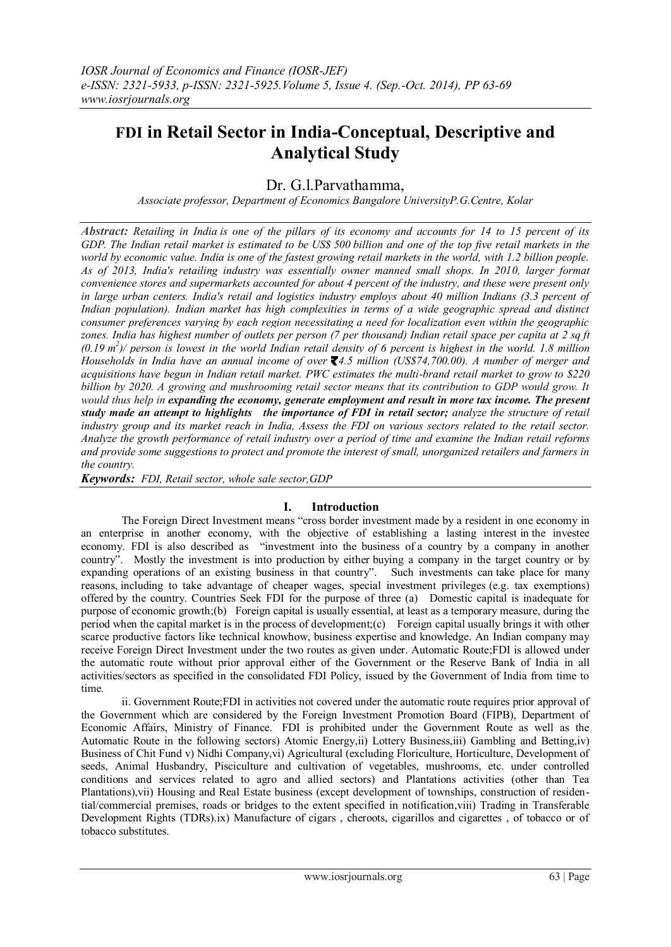# **FDI in Retail Sector in India-Conceptual, Descriptive and Analytical Study**

# Dr. G.l.Parvathamma,

*Associate professor, Department of Economics Bangalore UniversityP.G.Centre, Kolar*

*Abstract: Retailing in India is one of the pillars of its economy and accounts for 14 to 15 percent of its GDP. The Indian retail market is estimated to be [US\\$](http://en.wikipedia.org/wiki/United_States_dollar) 500 billion and one of the top five retail markets in the world by economic value. India is one of the fastest growing retail markets in the world, with 1.2 billion people. As of 2013, India's retailing industry was essentially owner manned small shops. In 2010, larger format convenience stores and supermarkets accounted for about 4 percent of the industry, and these were present only in large urban centers. India's retail and logistics industry employs about 40 million Indians (3.3 percent of Indian population). Indian market has high complexities in terms of a wide geographic spread and distinct consumer preferences varying by each region necessitating a need for localization even within the geographic zones. India has highest number of outlets per person (7 per thousand) Indian retail space per capita at 2 sq ft*   $(0.19 \text{ m}^2)$  person is lowest in the world Indian retail density of 6 percent is highest in the world. 1.8 million *Households in India have an annual income of over 4.5 million (US\$74,700.00). A number of merger and acquisitions have begun in Indian retail market. PWC estimates the multi-brand retail market to grow to \$220 billion by 2020. A growing and mushrooming retail sector means that its contribution to GDP would grow. It would thus help in expanding the economy, generate employment and result in more tax income. The present study made an attempt to highlights the importance of FDI in retail sector; analyze the structure of retail industry group and its market reach in India, Assess the FDI on various sectors related to the retail sector. Analyze the growth performance of retail industry over a period of time and examine the Indian retail reforms and provide some suggestions to protect and promote the interest of small, unorganized retailers and farmers in the country.*

*Keywords: FDI, Retail sector, whole sale sector,GDP*

## **I. Introduction**

The Foreign Direct Investment means "cross border investment made by a resident in one economy in an enterprise in another economy, with the objective of establishing a lasting interest in the investee economy. FDI is also described as "investment into the business of a country by a company in another country". Mostly the investment is into production by either buying a company in the target country or by expanding operations of an existing business in that country". Such investments can take place for many reasons, including to take advantage of cheaper wages, special investment privileges (e.g. tax exemptions) offered by the country. Countries Seek FDI for the purpose of three (a) Domestic capital is inadequate for purpose of economic growth;(b) Foreign capital is usually essential, at least as a temporary measure, during the period when the capital market is in the process of development;(c) Foreign capital usually brings it with other scarce productive factors like technical knowhow, business expertise and knowledge. An Indian company may receive Foreign Direct Investment under the two routes as given under. Automatic Route;FDI is allowed under the automatic route without prior approval either of the Government or the Reserve Bank of India in all activities/sectors as specified in the consolidated FDI Policy, issued by the Government of India from time to time.

ii. Government Route;FDI in activities not covered under the automatic route requires prior approval of the Government which are considered by the Foreign Investment Promotion Board (FIPB), Department of Economic Affairs, Ministry of Finance. FDI is prohibited under the Government Route as well as the Automatic Route in the following sectors) Atomic Energy,ii) Lottery Business,iii) Gambling and Betting,iv) Business of Chit Fund v) Nidhi Company,vi) Agricultural (excluding Floriculture, Horticulture, Development of seeds, Animal Husbandry, Pisciculture and cultivation of vegetables, mushrooms, etc. under controlled conditions and services related to agro and allied sectors) and Plantations activities (other than Tea Plantations),vii) Housing and Real Estate business (except development of townships, construction of residential/commercial premises, roads or bridges to the extent specified in notification,viii) Trading in Transferable Development Rights (TDRs).ix) Manufacture of cigars , cheroots, cigarillos and cigarettes , of tobacco or of tobacco substitutes.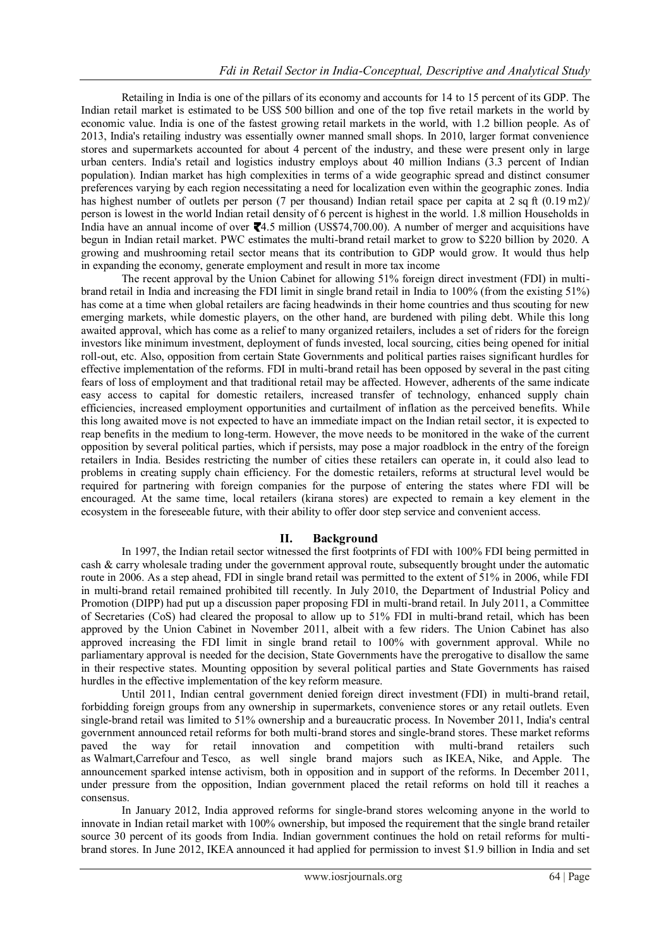Retailing in India is one of the pillars of its economy and accounts for 14 to 15 percent of its GDP. The Indian retail market is estimated to be [US\\$](http://en.wikipedia.org/wiki/United_States_dollar) 500 billion and one of the top five retail markets in the world by economic value. India is one of the fastest growing retail markets in the world, with 1.2 billion people. As of 2013, India's retailing industry was essentially owner manned small shops. In 2010, larger format convenience stores and supermarkets accounted for about 4 percent of the industry, and these were present only in large urban centers. India's retail and logistics industry employs about 40 million Indians (3.3 percent of Indian population). Indian market has high complexities in terms of a wide geographic spread and distinct consumer preferences varying by each region necessitating a need for localization even within the geographic zones. India has highest number of outlets per person (7 per thousand) Indian retail space per capita at 2 sq ft (0.19 m2)/ person is lowest in the world Indian retail density of 6 percent is highest in the world. 1.8 million Households in India have an annual income of over  $\mathbf{Z}$ [4](http://en.wikipedia.org/wiki/Indian_rupee).5 million (US\$74,700.00). A number of merger and acquisitions have begun in Indian retail market. PWC estimates the multi-brand retail market to grow to \$220 billion by 2020. A growing and mushrooming retail sector means that its contribution to GDP would grow. It would thus help in expanding the economy, generate employment and result in more tax income

The recent approval by the Union Cabinet for allowing 51% foreign direct investment (FDI) in multibrand retail in India and increasing the FDI limit in single brand retail in India to 100% (from the existing 51%) has come at a time when global retailers are facing headwinds in their home countries and thus scouting for new emerging markets, while domestic players, on the other hand, are burdened with piling debt. While this long awaited approval, which has come as a relief to many organized retailers, includes a set of riders for the foreign investors like minimum investment, deployment of funds invested, local sourcing, cities being opened for initial roll-out, etc. Also, opposition from certain State Governments and political parties raises significant hurdles for effective implementation of the reforms. FDI in multi-brand retail has been opposed by several in the past citing fears of loss of employment and that traditional retail may be affected. However, adherents of the same indicate easy access to capital for domestic retailers, increased transfer of technology, enhanced supply chain efficiencies, increased employment opportunities and curtailment of inflation as the perceived benefits. While this long awaited move is not expected to have an immediate impact on the Indian retail sector, it is expected to reap benefits in the medium to long-term. However, the move needs to be monitored in the wake of the current opposition by several political parties, which if persists, may pose a major roadblock in the entry of the foreign retailers in India. Besides restricting the number of cities these retailers can operate in, it could also lead to problems in creating supply chain efficiency. For the domestic retailers, reforms at structural level would be required for partnering with foreign companies for the purpose of entering the states where FDI will be encouraged. At the same time, local retailers (kirana stores) are expected to remain a key element in the ecosystem in the foreseeable future, with their ability to offer door step service and convenient access.

## **II. Background**

In 1997, the Indian retail sector witnessed the first footprints of FDI with 100% FDI being permitted in cash & carry wholesale trading under the government approval route, subsequently brought under the automatic route in 2006. As a step ahead, FDI in single brand retail was permitted to the extent of 51% in 2006, while FDI in multi-brand retail remained prohibited till recently. In July 2010, the Department of Industrial Policy and Promotion (DIPP) had put up a discussion paper proposing FDI in multi-brand retail. In July 2011, a Committee of Secretaries (CoS) had cleared the proposal to allow up to 51% FDI in multi-brand retail, which has been approved by the Union Cabinet in November 2011, albeit with a few riders. The Union Cabinet has also approved increasing the FDI limit in single brand retail to 100% with government approval. While no parliamentary approval is needed for the decision, State Governments have the prerogative to disallow the same in their respective states. Mounting opposition by several political parties and State Governments has raised hurdles in the effective implementation of the key reform measure.

Until 2011, Indian central government denied [foreign direct investment](http://en.wikipedia.org/wiki/Foreign_direct_investment) (FDI) in multi-brand retail, forbidding foreign groups from any ownership in supermarkets, convenience stores or any retail outlets. Even single-brand retail was limited to 51% ownership and a bureaucratic process. In November 2011, India's central government announced retail reforms for both multi-brand stores and single-brand stores. These market reforms paved the way for retail innovation and competition with multi-brand retailers such the way for retail innovation and competition with multi-brand retailers such as [Walmart](http://en.wikipedia.org/wiki/Walmart)[,Carrefour](http://en.wikipedia.org/wiki/Carrefour) and [Tesco,](http://en.wikipedia.org/wiki/Tesco) as well single brand majors such as [IKEA,](http://en.wikipedia.org/wiki/IKEA) [Nike,](http://en.wikipedia.org/wiki/Nike,_Inc.) and [Apple.](http://en.wikipedia.org/wiki/Apple_Inc.) The announcement sparked intense activism, both in opposition and in support of the reforms. In December 2011, under pressure from the opposition, Indian government placed the retail reforms on hold till it reaches a consensus.

In January 2012, India approved reforms for single-brand stores welcoming anyone in the world to innovate in Indian retail market with 100% ownership, but imposed the requirement that the single brand retailer source 30 percent of its goods from India. Indian government continues the hold on retail reforms for multibrand stores. In June 2012, [IKEA](http://en.wikipedia.org/wiki/IKEA) announced it had applied for permission to invest \$1.9 billion in India and set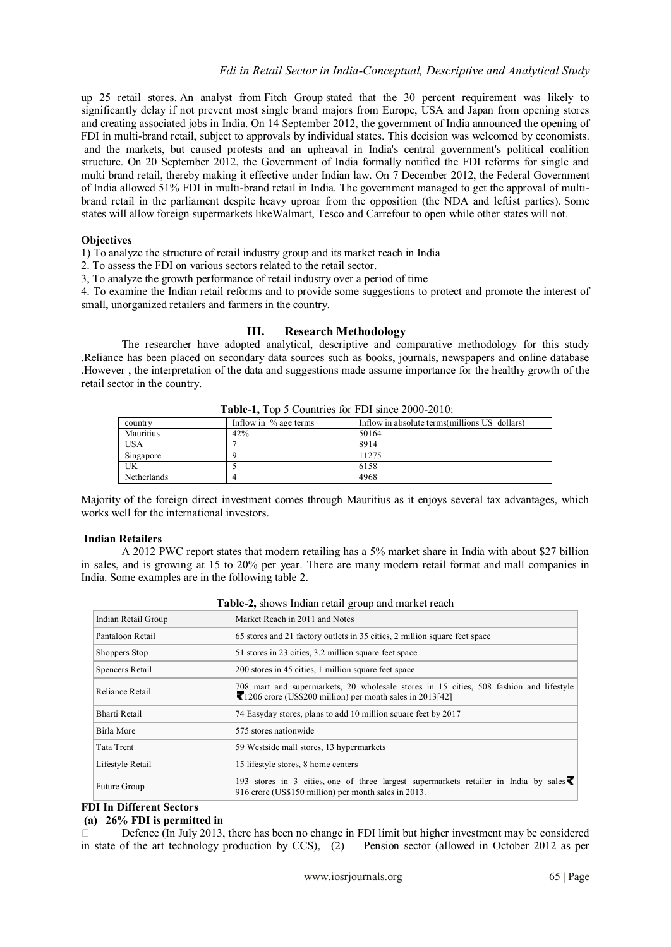up 25 retail stores. An analyst from [Fitch Group](http://en.wikipedia.org/wiki/Fitch_Group) stated that the 30 percent requirement was likely to significantly delay if not prevent most single brand majors from Europe, USA and Japan from opening stores and creating associated jobs in India. On 14 September 2012, the government of India announced the opening of FDI in multi-brand retail, subject to approvals by individual states. This decision was welcomed by economists. and the markets, but caused protests and an upheaval in India's central government's political coalition structure. On 20 September 2012, the Government of India formally notified the FDI reforms for single and multi brand retail, thereby making it effective under Indian law. On 7 December 2012, the Federal Government of India allowed 51% FDI in multi-brand retail in India. The government managed to get the approval of multibrand retail in the parliament despite heavy uproar from the opposition (the NDA and leftist parties). Some states will allow foreign supermarkets lik[eWalmart,](http://en.wikipedia.org/wiki/Walmart) [Tesco](http://en.wikipedia.org/wiki/Tesco) and [Carrefour](http://en.wikipedia.org/wiki/Carrefour) to open while other states will not.

#### **Objectives**

1) To analyze the structure of retail industry group and its market reach in India

2. To assess the FDI on various sectors related to the retail sector.

3, To analyze the growth performance of retail industry over a period of time

4. To examine the Indian retail reforms and to provide some suggestions to protect and promote the interest of small, unorganized retailers and farmers in the country.

#### **III. Research Methodology**

The researcher have adopted analytical, descriptive and comparative methodology for this study .Reliance has been placed on secondary data sources such as books, journals, newspapers and online database .However , the interpretation of the data and suggestions made assume importance for the healthy growth of the retail sector in the country.

| country     | Inflow in % age terms | Inflow in absolute terms millions US dollars) |
|-------------|-----------------------|-----------------------------------------------|
| Mauritius   | 42%                   | 50164                                         |
| <b>USA</b>  |                       | 8914                                          |
| Singapore   |                       | 11275                                         |
| UK          |                       | 6158                                          |
| Netherlands |                       | 4968                                          |

**Table-1,** Top 5 Countries for FDI since 2000-2010:

Majority of the foreign direct investment comes through Mauritius as it enjoys several tax advantages, which works well for the international investors.

#### **Indian Retailers**

A 2012 PWC report states that modern retailing has a 5% market share in India with about \$27 billion in sales, and is growing at 15 to 20% per year. There are many modern retail format and mall companies in India. Some examples are in the following table 2.

| Indian Retail Group | Market Reach in 2011 and Notes                                                                                                                     |  |
|---------------------|----------------------------------------------------------------------------------------------------------------------------------------------------|--|
| Pantaloon Retail    | 65 stores and 21 factory outlets in 35 cities, 2 million square feet space                                                                         |  |
| Shoppers Stop       | 51 stores in 23 cities, 3.2 million square feet space                                                                                              |  |
| Spencers Retail     | 200 stores in 45 cities, 1 million square feet space                                                                                               |  |
| Reliance Retail     | 708 mart and supermarkets, 20 wholesale stores in 15 cities, 508 fashion and lifestyle<br>1206 crore (US\$200 million) per month sales in 2013[42] |  |
| Bharti Retail       | 74 Easyday stores, plans to add 10 million square feet by 2017                                                                                     |  |
| Birla More          | 575 stores nationwide                                                                                                                              |  |
| Tata Trent          | 59 Westside mall stores, 13 hypermarkets                                                                                                           |  |
| Lifestyle Retail    | 15 lifestyle stores, 8 home centers                                                                                                                |  |
| Future Group        | 193 stores in 3 cities, one of three largest supermarkets retailer in India by sales<br>916 crore (US\$150 million) per month sales in 2013.       |  |

#### **Table-2,** shows Indian retail group and market reach

# **FDI In Different Sectors**

# **(a) 26% FDI is permitted in**

 Defence (In July 2013, there has been no change in FDI limit but higher investment may be considered in state of the art technology production by CCS), (2) Pension sector (allowed in October 2012 as per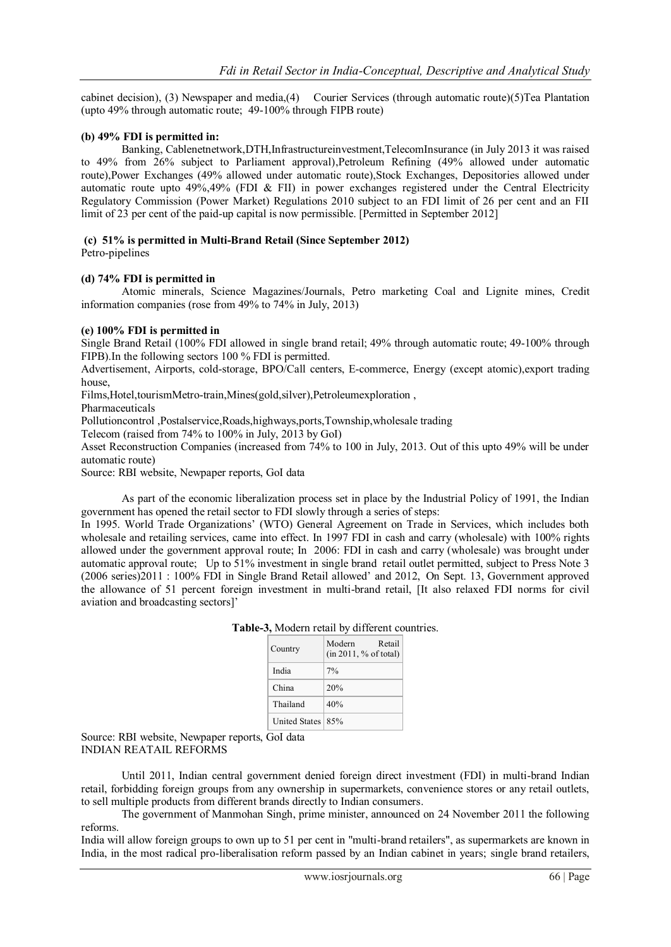cabinet decision), (3) Newspaper and media,(4) Courier Services (through automatic route)(5)Tea Plantation (upto 49% through automatic route; 49-100% through FIPB route)

#### **(b) 49% FDI is permitted in:**

Banking, Cablenetnetwork,DTH,Infrastructureinvestment,TelecomInsurance (in July 2013 it was raised to 49% from 26% subject to Parliament approval),Petroleum Refining (49% allowed under automatic route),Power Exchanges (49% allowed under automatic route),Stock Exchanges, Depositories allowed under automatic route upto 49%,49% (FDI & FII) in power exchanges registered under the Central Electricity Regulatory Commission (Power Market) Regulations 2010 subject to an FDI limit of 26 per cent and an FII limit of 23 per cent of the paid-up capital is now permissible. [Permitted in September 2012]

# **(c) 51% is permitted in Multi-Brand Retail (Since September 2012)**

Petro-pipelines

#### **(d) 74% FDI is permitted in**

Atomic minerals, Science Magazines/Journals, Petro marketing Coal and Lignite mines, Credit information companies (rose from 49% to 74% in July, 2013)

#### **(e) 100% FDI is permitted in**

Single Brand Retail (100% FDI allowed in single brand retail; 49% through automatic route; 49-100% through FIPB).In the following sectors 100 % FDI is permitted.

Advertisement, Airports, cold-storage, BPO/Call centers, E-commerce, Energy (except atomic),export trading house,

Films,Hotel,tourismMetro-train,Mines(gold,silver),Petroleumexploration ,

Pharmaceuticals

Pollutioncontrol ,Postalservice,Roads,highways,ports,Township,wholesale trading

Telecom (raised from 74% to 100% in July, 2013 by GoI)

Asset Reconstruction Companies (increased from 74% to 100 in July, 2013. Out of this upto 49% will be under automatic route)

Source: RBI website, Newpaper reports, GoI data

As part of the economic liberalization process set in place by the Industrial Policy of 1991, the Indian government has opened the retail sector to FDI slowly through a series of steps:

In 1995. World Trade Organizations' (WTO) General Agreement on Trade in Services, which includes both wholesale and retailing services, came into effect. In 1997 FDI in cash and carry (wholesale) with 100% rights allowed under the government approval route; In 2006: FDI in cash and carry (wholesale) was brought under automatic approval route; Up to 51% investment in single brand retail outlet permitted, subject to Press Note 3 (2006 series)2011 : 100% FDI in Single Brand Retail allowed' and 2012, On Sept. 13, Government approved the allowance of 51 percent foreign investment in multi-brand retail, [It also relaxed FDI norms for civil aviation and broadcasting sectors]'

| Country            | Modern<br>Retail<br>(in 2011, % of total) |
|--------------------|-------------------------------------------|
| India              | $7\%$                                     |
| China              | 20%                                       |
| Thailand           | 40%                                       |
| United States 185% |                                           |

**Table-3,** Modern retail by different countries.

Source: RBI website, Newpaper reports, GoI data INDIAN REATAIL REFORMS

Until 2011, Indian central government denied foreign direct investment (FDI) in multi-brand Indian retail, forbidding foreign groups from any ownership in supermarkets, convenience stores or any retail outlets, to sell multiple products from different brands directly to Indian consumers.

The government of Manmohan Singh, prime minister, announced on 24 November 2011 the following reforms.

India will allow foreign groups to own up to 51 per cent in "multi-brand retailers", as supermarkets are known in India, in the most radical pro-liberalisation reform passed by an Indian cabinet in years; single brand retailers,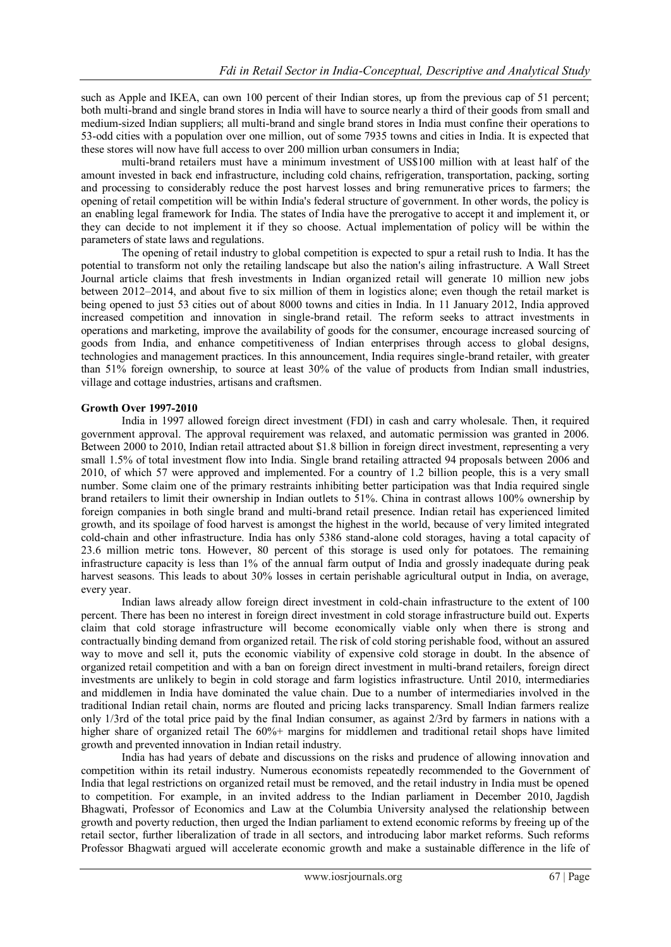such as Apple and IKEA, can own 100 percent of their Indian stores, up from the previous cap of 51 percent; both multi-brand and single brand stores in India will have to source nearly a third of their goods from small and medium-sized Indian suppliers; all multi-brand and single brand stores in India must confine their operations to 53-odd cities with a population over one million, out of some 7935 towns and cities in India. It is expected that these stores will now have full access to over 200 million urban consumers in India;

multi-brand retailers must have a minimum investment of US\$100 million with at least half of the amount invested in back end infrastructure, including cold chains, refrigeration, transportation, packing, sorting and processing to considerably reduce the post harvest losses and bring remunerative prices to farmers; the opening of retail competition will be within India's federal structure of government. In other words, the policy is an enabling legal framework for India. The states of India have the prerogative to accept it and implement it, or they can decide to not implement it if they so choose. Actual implementation of policy will be within the parameters of state laws and regulations.

The opening of retail industry to global competition is expected to spur a retail rush to India. It has the potential to transform not only the retailing landscape but also the nation's ailing infrastructure. A Wall Street Journal article claims that fresh investments in Indian organized retail will generate 10 million new jobs between 2012–2014, and about five to six million of them in logistics alone; even though the retail market is being opened to just 53 cities out of about 8000 towns and cities in India. In 11 January 2012, India approved increased competition and innovation in single-brand retail. The reform seeks to attract investments in operations and marketing, improve the availability of goods for the consumer, encourage increased sourcing of goods from India, and enhance competitiveness of Indian enterprises through access to global designs, technologies and management practices. In this announcement, India requires single-brand retailer, with greater than 51% foreign ownership, to source at least 30% of the value of products from Indian small industries, village and cottage industries, artisans and craftsmen.

#### **Growth Over 1997-2010**

India in 1997 allowed foreign direct investment (FDI) in cash and carry wholesale. Then, it required government approval. The approval requirement was relaxed, and automatic permission was granted in 2006. Between 2000 to 2010, Indian retail attracted about \$1.8 billion in foreign direct investment, representing a very small 1.5% of total investment flow into India. Single brand retailing attracted 94 proposals between 2006 and 2010, of which 57 were approved and implemented. For a country of 1.2 billion people, this is a very small number. Some claim one of the primary restraints inhibiting better participation was that India required single brand retailers to limit their ownership in Indian outlets to 51%. China in contrast allows 100% ownership by foreign companies in both single brand and multi-brand retail presence. Indian retail has experienced limited growth, and its spoilage of food harvest is amongst the highest in the world, because of very limited integrated cold-chain and other infrastructure. India has only 5386 stand-alone cold storages, having a total capacity of 23.6 million metric tons. However, 80 percent of this storage is used only for potatoes. The remaining infrastructure capacity is less than 1% of the annual farm output of India and grossly inadequate during peak harvest seasons. This leads to about 30% losses in certain perishable agricultural output in India, on average, every year.

Indian laws already allow foreign direct investment in cold-chain infrastructure to the extent of 100 percent. There has been no interest in foreign direct investment in cold storage infrastructure build out. Experts claim that cold storage infrastructure will become economically viable only when there is strong and contractually binding demand from organized retail. The risk of cold storing perishable food, without an assured way to move and sell it, puts the economic viability of expensive cold storage in doubt. In the absence of organized retail competition and with a ban on foreign direct investment in multi-brand retailers, foreign direct investments are unlikely to begin in cold storage and farm logistics infrastructure. Until 2010, intermediaries and middlemen in India have dominated the value chain. Due to a number of intermediaries involved in the traditional Indian retail chain, norms are flouted and pricing lacks transparency. Small Indian farmers realize only 1/3rd of the total price paid by the final Indian consumer, as against 2/3rd by farmers in nations with a higher share of organized retail The 60%+ margins for middlemen and traditional retail shops have limited growth and prevented innovation in Indian retail industry.

India has had years of debate and discussions on the risks and prudence of allowing innovation and competition within its retail industry. Numerous economists repeatedly recommended to the Government of India that legal restrictions on organized retail must be removed, and the retail industry in India must be opened to competition. For example, in an invited address to the Indian parliament in December 2010, [Jagdish](http://en.wikipedia.org/wiki/Jagdish_Bhagwati)  [Bhagwati,](http://en.wikipedia.org/wiki/Jagdish_Bhagwati) Professor of Economics and Law at the Columbia University analysed the relationship between growth and poverty reduction, then urged the Indian parliament to extend economic reforms by freeing up of the retail sector, further liberalization of trade in all sectors, and introducing labor market reforms. Such reforms Professor Bhagwati argued will accelerate economic growth and make a sustainable difference in the life of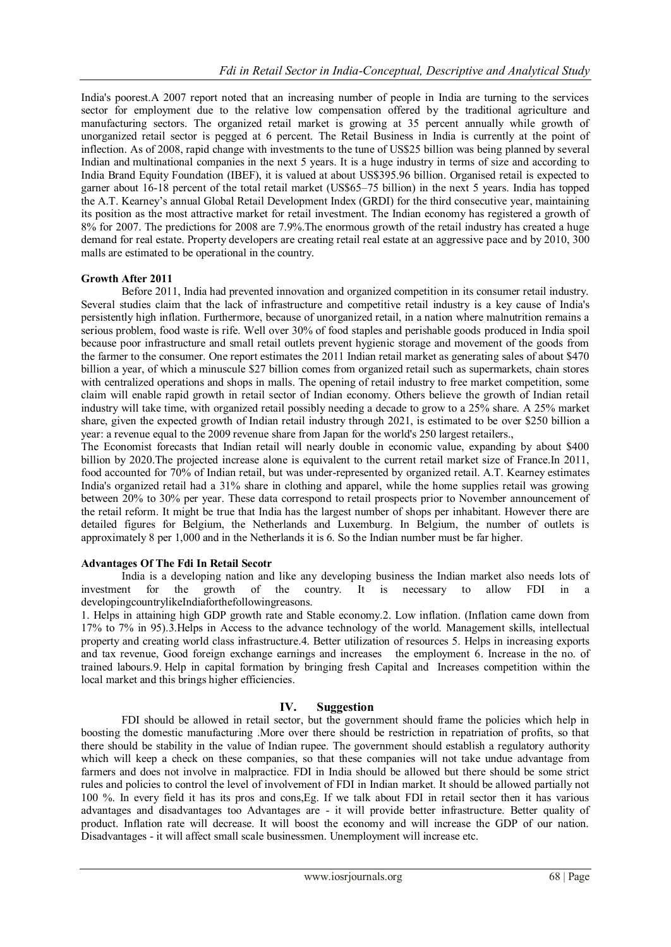India's poorest.A 2007 report noted that an increasing number of people in India are turning to the services sector for employment due to the relative low compensation offered by the traditional agriculture and manufacturing sectors. The organized retail market is growing at 35 percent annually while growth of unorganized retail sector is pegged at 6 percent. The Retail Business in India is currently at the point of inflection. As of 2008, rapid change with investments to the tune of US\$25 billion was being planned by several Indian and [multinational companies](http://en.wikipedia.org/wiki/Multinational_company) in the next 5 years. It is a huge industry in terms of size and according to India Brand Equity Foundation (IBEF), it is valued at about US\$395.96 billion. Organised retail is expected to garner about 16-18 percent of the total retail market (US\$65–75 billion) in the next 5 years. India has topped the [A.T. Kearney](http://en.wikipedia.org/wiki/A.T._Kearney)'s annual Global Retail Development Index (GRDI) for the third consecutive year, maintaining its position as the most attractive market for retail investment. The Indian economy has registered a growth of 8% for 2007. The predictions for 2008 are 7.9%.The enormous growth of the retail industry has created a huge demand for real estate. Property developers are creating retail real estate at an aggressive pace and by 2010, 300 malls are estimated to be operational in the country.

## **Growth After 2011**

Before 2011, India had prevented innovation and organized competition in its consumer retail industry. Several studies claim that the lack of infrastructure and competitive retail industry is a key cause of India's persistently high inflation. Furthermore, because of unorganized retail, in a nation where malnutrition remains a serious problem, food waste is rife. Well over 30% of food staples and perishable goods produced in India spoil because poor infrastructure and small retail outlets prevent hygienic storage and movement of the goods from the farmer to the consumer. One report estimates the 2011 Indian retail market as generating sales of about \$470 billion a year, of which a minuscule \$27 billion comes from organized retail such as supermarkets, chain stores with centralized operations and shops in malls. The opening of retail industry to free market competition, some claim will enable rapid growth in retail sector of Indian economy. Others believe the growth of Indian retail industry will take time, with organized retail possibly needing a decade to grow to a 25% share. A 25% market share, given the expected growth of Indian retail industry through 2021, is estimated to be over \$250 billion a year: a revenue equal to the 2009 revenue share from Japan for the world's 250 largest retailers.,

The Economist forecasts that Indian retail will nearly double in economic value, expanding by about \$400 billion by 2020.The projected increase alone is equivalent to the current retail market size of France.In 2011, food accounted for 70% of Indian retail, but was under-represented by organized retail. [A.T. Kearney](http://en.wikipedia.org/wiki/A.T._Kearney) estimates India's organized retail had a 31% share in clothing and apparel, while the home supplies retail was growing between 20% to 30% per year. These data correspond to retail prospects prior to November announcement of the retail reform. It might be true that India has the largest number of shops per inhabitant. However there are detailed figures for Belgium, the Netherlands and Luxemburg. In Belgium, the number of outlets is approximately 8 per 1,000 and in the Netherlands it is 6. So the Indian number must be far higher.

## **Advantages Of The Fdi In Retail Secotr**

India is a developing nation and like any developing business the Indian market also needs lots of investment for the growth of the country. It is necessary to allow FDI in a developingcountrylikeIndiaforthefollowingreasons.

1. Helps in attaining high GDP growth rate and Stable economy.2. Low inflation. (Inflation came down from 17% to 7% in 95).3.Helps in Access to the advance technology of the world. Management skills, intellectual property and creating world class infrastructure.4. Better utilization of resources 5. Helps in increasing exports and tax revenue, Good foreign exchange earnings and increases the employment 6. Increase in the no. of trained labours.9. Help in capital formation by bringing fresh Capital and Increases competition within the local market and this brings higher efficiencies.

# **IV. Suggestion**

FDI should be allowed in retail sector, but the government should frame the policies which help in boosting the domestic manufacturing .More over there should be restriction in repatriation of profits, so that there should be stability in the value of Indian rupee. The government should establish a regulatory authority which will keep a check on these companies, so that these companies will not take undue advantage from farmers and does not involve in malpractice. FDI in India should be allowed but there should be some strict rules and policies to control the level of involvement of FDI in Indian market. It should be allowed partially not 100 %. In every field it has its pros and cons,Eg. If we talk about FDI in retail sector then it has various advantages and disadvantages too Advantages are - it will provide better infrastructure. Better quality of product. Inflation rate will decrease. It will boost the economy and will increase the GDP of our nation. Disadvantages - it will affect small scale businessmen. Unemployment will increase etc.